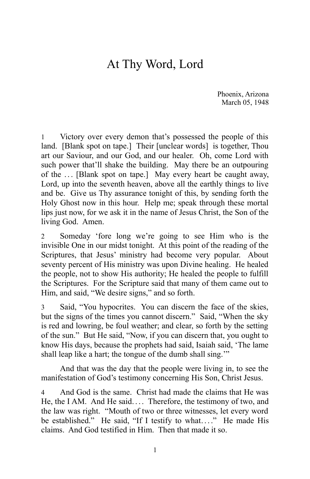## At Thy Word, Lord

Phoenix, Arizona March 05, 1948

Victory over every demon that's possessed the people of this land. [Blank spot on tape.] Their [unclear words] is together, Thou art our Saviour, and our God, and our healer. Oh, come Lord with such power that'll shake the building. May there be an outpouring of the ... [Blank spot on tape.] May every heart be caught away, Lord, up into the seventh heaven, above all the earthly things to live and be. Give us Thy assurance tonight of this, by sending forth the Holy Ghost now in this hour. Help me; speak through these mortal lips just now, for we ask it in the name of Jesus Christ, the Son of the living God. Amen.

2 Someday 'fore long we're going to see Him who is the invisible One in our midst tonight. At this point of the reading of the Scriptures, that Jesus' ministry had become very popular. About seventy percent of His ministry was upon Divine healing. He healed the people, not to show His authority; He healed the people to fulfill the Scriptures. For the Scripture said that many of them came out to Him, and said, "We desire signs," and so forth.

3 Said, "You hypocrites. You can discern the face of the skies, but the signs of the times you cannot discern." Said, "When the sky is red and lowring, be foul weather; and clear, so forth by the setting of the sun." But He said, "Now, if you can discern that, you ought to know His days, because the prophets had said, Isaiah said, 'The lame shall leap like a hart; the tongue of the dumb shall sing."

And that was the day that the people were living in, to see the manifestation of God's testimony concerning His Son, Christ Jesus.

And God is the same. Christ had made the claims that He was He, the I AM. And He said.... Therefore, the testimony of two, and the law was right. "Mouth of two or three witnesses, let every word be established." He said, "If I testify to what...." He made His claims. And God testified in Him. Then that made it so.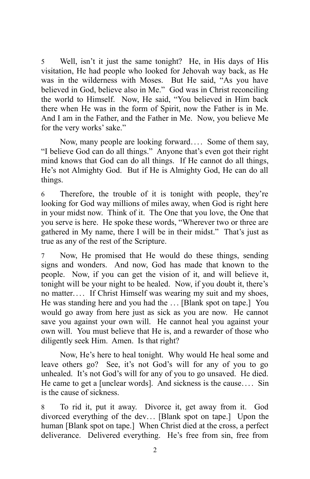5 Well, isn't it just the same tonight? He, in His days of His visitation, He had people who looked for Jehovah way back, as He was in the wilderness with Moses. But He said, "As you have believed in God, believe also in Me." God was in Christ reconciling the world to Himself. Now, He said, "You believed in Him back there when He was in the form of Spirit, now the Father is in Me. And I am in the Father, and the Father in Me. Now, you believe Me for the very works' sake."

Now, many people are looking forward.... Some of them say, "I believe God can do all things." Anyone that's even got their right mind knows that God can do all things. If He cannot do all things, He's not Almighty God. But if He is Almighty God, He can do all things.

6 Therefore, the trouble of it is tonight with people, they're looking for God way millions of miles away, when God is right here in your midst now. Think of it. The One that you love, the One that you serve is here. He spoke these words, "Wherever two or three are gathered in My name, there I will be in their midst." That's just as true as any of the rest of the Scripture.

7 Now, He promised that He would do these things, sending signs and wonders. And now, God has made that known to the people. Now, if you can get the vision of it, and will believe it, tonight will be your night to be healed. Now, if you doubt it, there's no matter.... If Christ Himself was wearing my suit and my shoes, He was standing here and you had the ... [Blank spot on tape.] You would go away from here just as sick as you are now. He cannot save you against your own will. He cannot heal you against your own will. You must believe that He is, and a rewarder of those who diligently seek Him. Amen. Is that right?

Now, He's here to heal tonight. Why would He heal some and leave others go? See, it's not God's will for any of you to go unhealed. It's not God's will for any of you to go unsaved. He died. He came to get a [unclear words]. And sickness is the cause.... Sin is the cause of sickness.

8 To rid it, put it away. Divorce it, get away from it. God divorced everything of the dev... [Blank spot on tape.] Upon the human [Blank spot on tape.] When Christ died at the cross, a perfect deliverance. Delivered everything. He's free from sin, free from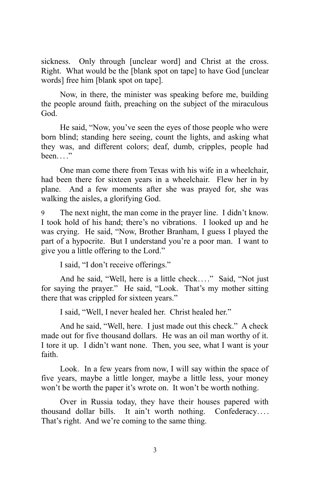sickness. Only through [unclear word] and Christ at the cross. Right. What would be the [blank spot on tape] to have God [unclear words] free him [blank spot on tape].

Now, in there, the minister was speaking before me, building the people around faith, preaching on the subject of the miraculous God.

He said, "Now, you've seen the eyes of those people who were born blind; standing here seeing, count the lights, and asking what they was, and different colors; deaf, dumb, cripples, people had been..."

One man come there from Texas with his wife in a wheelchair, had been there for sixteen years in a wheelchair. Flew her in by plane. And a few moments after she was prayed for, she was walking the aisles, a glorifying God.

The next night, the man come in the prayer line. I didn't know. I took hold of his hand; there's no vibrations. I looked up and he was crying. He said, "Now, Brother Branham, I guess I played the part of a hypocrite. But I understand you're a poor man. I want to give you a little offering to the Lord."

I said, "I don't receive offerings."

And he said, "Well, here is a little check...." Said, "Not just for saying the prayer." He said, "Look. That's my mother sitting there that was crippled for sixteen years."

I said, "Well, I never healed her. Christ healed her."

And he said, "Well, here. I just made out this check." A check made out for five thousand dollars. He was an oil man worthy of it. I tore it up. I didn't want none. Then, you see, what I want is your faith.

Look. In a few years from now, I will say within the space of five years, maybe a little longer, maybe a little less, your money won't be worth the paper it's wrote on. It won't be worth nothing.

Over in Russia today, they have their houses papered with thousand dollar bills. It ain't worth nothing. Confederacy. . . . That's right. And we're coming to the same thing.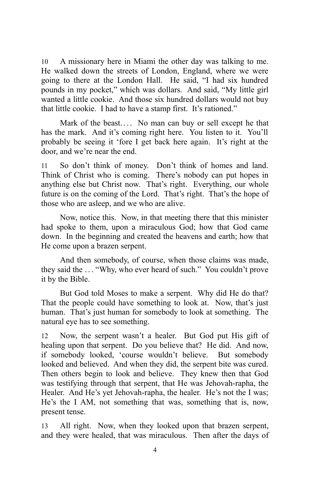10 A missionary here in Miami the other day was talking to me. He walked down the streets of London, England, where we were going to there at the London Hall. He said, "I had six hundred pounds in my pocket," which was dollars. And said, "My little girl wanted a little cookie. And those six hundred dollars would not buy that little cookie. I had to have a stamp first. It's rationed."

Mark of the beast.... No man can buy or sell except he that has the mark. And it's coming right here. You listen to it. You'll probably be seeing it 'fore I get back here again. It's right at the door, and we're near the end.

11 So don't think of money. Don't think of homes and land. Think of Christ who is coming. There's nobody can put hopes in anything else but Christ now. That's right. Everything, our whole future is on the coming of the Lord. That's right. That's the hope of those who are asleep, and we who are alive.

Now, notice this. Now, in that meeting there that this minister had spoke to them, upon a miraculous God; how that God came down. In the beginning and created the heavens and earth; how that He come upon a brazen serpent.

And then somebody, of course, when those claims was made, they said the . . . "Why, who ever heard of such." You couldn't prove it by the Bible.

But God told Moses to make a serpent. Why did He do that? That the people could have something to look at. Now, that's just human. That's just human for somebody to look at something. The natural eye has to see something.

12 Now, the serpent wasn't a healer. But God put His gift of healing upon that serpent. Do you believe that? He did. And now, if somebody looked, 'course wouldn't believe. But somebody looked and believed. And when they did, the serpent bite was cured. Then others begin to look and believe. They knew then that God was testifying through that serpent, that He was Jehovah-rapha, the Healer. And He's yet Jehovah-rapha, the healer. He's not the I was; He's the I AM, not something that was, something that is, now, present tense.

13 All right. Now, when they looked upon that brazen serpent, and they were healed, that was miraculous. Then after the days of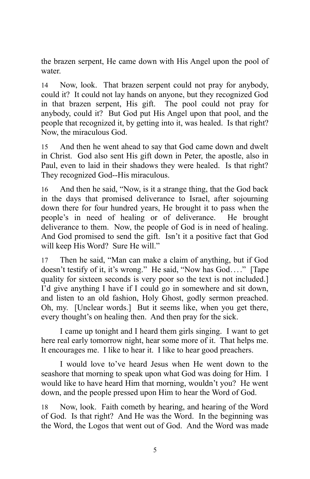the brazen serpent, He came down with His Angel upon the pool of water.

14 Now, look. That brazen serpent could not pray for anybody, could it? It could not lay hands on anyone, but they recognized God in that brazen serpent, His gift. The pool could not pray for anybody, could it? But God put His Angel upon that pool, and the people that recognized it, by getting into it, was healed. Is that right? Now, the miraculous God.

15 And then he went ahead to say that God came down and dwelt in Christ. God also sent His gift down in Peter, the apostle, also in Paul, even to laid in their shadows they were healed. Is that right? They recognized God--His miraculous.

16 And then he said, "Now, is it a strange thing, that the God back in the days that promised deliverance to Israel, after sojourning down there for four hundred years, He brought it to pass when the people's in need of healing or of deliverance. He brought deliverance to them. Now, the people of God is in need of healing. And God promised to send the gift. Isn't it a positive fact that God will keep His Word? Sure He will."

17 Then he said, "Man can make a claim of anything, but if God doesn't testify of it, it's wrong." He said, "Now has God...." [Tape quality for sixteen seconds is very poor so the text is not included.] I'd give anything I have if I could go in somewhere and sit down, and listen to an old fashion, Holy Ghost, godly sermon preached. Oh, my. [Unclear words.] But it seems like, when you get there, every thought's on healing then. And then pray for the sick.

I came up tonight and I heard them girls singing. I want to get here real early tomorrow night, hear some more of it. That helps me. It encourages me. I like to hear it. I like to hear good preachers.

I would love to've heard Jesus when He went down to the seashore that morning to speak upon what God was doing for Him. I would like to have heard Him that morning, wouldn't you? He went down, and the people pressed upon Him to hear the Word of God.

18 Now, look. Faith cometh by hearing, and hearing of the Word of God. Is that right? And He was the Word. In the beginning was the Word, the Logos that went out of God. And the Word was made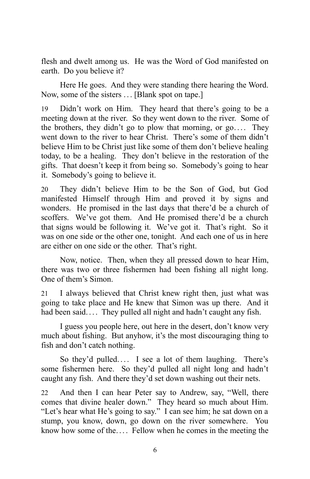flesh and dwelt among us. He was the Word of God manifested on earth. Do you believe it?

Here He goes. And they were standing there hearing the Word. Now, some of the sisters ... [Blank spot on tape.]

19 Didn't work on Him. They heard that there's going to be a meeting down at the river. So they went down to the river. Some of the brothers, they didn't go to plow that morning, or  $go...$  They went down to the river to hear Christ. There's some of them didn't believe Him to be Christ just like some of them don't believe healing today, to be a healing. They don't believe in the restoration of the gifts. That doesn't keep it from being so. Somebody's going to hear it. Somebody's going to believe it.

20 They didn't believe Him to be the Son of God, but God manifested Himself through Him and proved it by signs and wonders. He promised in the last days that there'd be a church of scoffers. We've got them. And He promised there'd be a church that signs would be following it. We've got it. That's right. So it was on one side or the other one, tonight. And each one of us in here are either on one side or the other. That's right.

Now, notice. Then, when they all pressed down to hear Him, there was two or three fishermen had been fishing all night long. One of them's Simon.

21 I always believed that Christ knew right then, just what was going to take place and He knew that Simon was up there. And it had been said.... They pulled all night and hadn't caught any fish.

I guess you people here, out here in the desert, don't know very much about fishing. But anyhow, it's the most discouraging thing to fish and don't catch nothing.

So they'd pulled.... I see a lot of them laughing. There's some fishermen here. So they'd pulled all night long and hadn't caught any fish. And there they'd set down washing out their nets.

22 And then I can hear Peter say to Andrew, say, "Well, there comes that divine healer down." They heard so much about Him. "Let's hear what He's going to say." I can see him; he sat down on a stump, you know, down, go down on the river somewhere. You know how some of the.... Fellow when he comes in the meeting the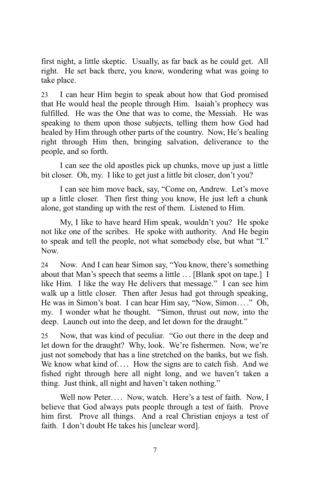first night, a little skeptic. Usually, as far back as he could get. All right. He set back there, you know, wondering what was going to take place.

23 I can hear Him begin to speak about how that God promised that He would heal the people through Him. Isaiah's prophecy was fulfilled. He was the One that was to come, the Messiah. He was speaking to them upon those subjects, telling them how God had healed by Him through other parts of the country. Now, He's healing right through Him then, bringing salvation, deliverance to the people, and so forth.

I can see the old apostles pick up chunks, move up just a little bit closer. Oh, my. I like to get just a little bit closer, don't you?

I can see him move back, say, "Come on, Andrew. Let's move up a little closer. Then first thing you know, He just left a chunk alone, got standing up with the rest of them. Listened to Him.

My, I like to have heard Him speak, wouldn't you? He spoke not like one of the scribes. He spoke with authority. And He begin to speak and tell the people, not what somebody else, but what "I." Now.

24 Now. And I can hear Simon say, "You know, there's something about that Man's speech that seems a little . . . [Blank spot on tape.] I like Him. I like the way He delivers that message." I can see him walk up a little closer. Then after Jesus had got through speaking, He was in Simon's boat. I can hear Him say, "Now, Simon...." Oh, my. I wonder what he thought. "Simon, thrust out now, into the deep. Launch out into the deep, and let down for the draught."

25 Now, that was kind of peculiar. "Go out there in the deep and let down for the draught? Why, look. We're fishermen. Now, we're just not somebody that has a line stretched on the banks, but we fish. We know what kind of.... How the signs are to catch fish. And we fished right through here all night long, and we haven't taken a thing. Just think, all night and haven't taken nothing."

Well now Peter.... Now, watch. Here's a test of faith. Now, I believe that God always puts people through a test of faith. Prove him first. Prove all things. And a real Christian enjoys a test of faith. I don't doubt He takes his [unclear word].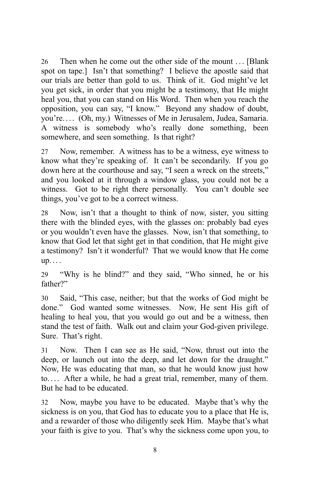26 Then when he come out the other side of the mount ... [Blank] spot on tape.] Isn't that something? I believe the apostle said that our trials are better than gold to us. Think of it. God might've let you get sick, in order that you might be a testimony, that He might heal you, that you can stand on His Word. Then when you reach the opposition, you can say, "I know." Beyond any shadow of doubt, you're. . . . (Oh, my.) Witnesses of Me in Jerusalem, Judea, Samaria. A witness is somebody who's really done something, been somewhere, and seen something. Is that right?

27 Now, remember. A witness has to be a witness, eye witness to know what they're speaking of. It can't be secondarily. If you go down here at the courthouse and say, "I seen a wreck on the streets," and you looked at it through a window glass, you could not be a witness. Got to be right there personally. You can't double see things, you've got to be a correct witness.

28 Now, isn't that a thought to think of now, sister, you sitting there with the blinded eyes, with the glasses on: probably bad eyes or you wouldn't even have the glasses. Now, isn't that something, to know that God let that sight get in that condition, that He might give a testimony? Isn't it wonderful? That we would know that He come up. . . .

29 "Why is he blind?" and they said, "Who sinned, he or his father?"

30 Said, "This case, neither; but that the works of God might be done." God wanted some witnesses. Now, He sent His gift of healing to heal you, that you would go out and be a witness, then stand the test of faith. Walk out and claim your God-given privilege. Sure. That's right.

31 Now. Then I can see as He said, "Now, thrust out into the deep, or launch out into the deep, and let down for the draught." Now, He was educating that man, so that he would know just how to. . . . After a while, he had a great trial, remember, many of them. But he had to be educated.

32 Now, maybe you have to be educated. Maybe that's why the sickness is on you, that God has to educate you to a place that He is, and a rewarder of those who diligently seek Him. Maybe that's what your faith is give to you. That's why the sickness come upon you, to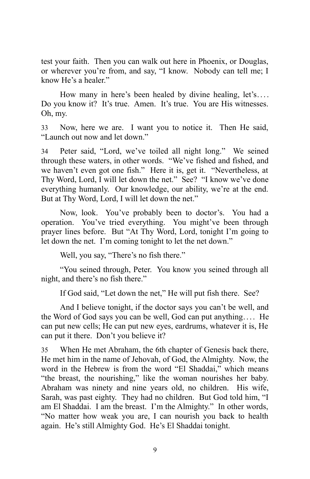test your faith. Then you can walk out here in Phoenix, or Douglas, or wherever you're from, and say, "I know. Nobody can tell me; I know He's a healer."

How many in here's been healed by divine healing, let's.... Do you know it? It's true. Amen. It's true. You are His witnesses. Oh, my.

33 Now, here we are. I want you to notice it. Then He said, "Launch out now and let down."

34 Peter said, "Lord, we've toiled all night long." We seined through these waters, in other words. "We've fished and fished, and we haven't even got one fish." Here it is, get it. "Nevertheless, at Thy Word, Lord, I will let down the net." See? "I know we've done everything humanly. Our knowledge, our ability, we're at the end. But at Thy Word, Lord, I will let down the net."

Now, look. You've probably been to doctor's. You had a operation. You've tried everything. You might've been through prayer lines before. But "At Thy Word, Lord, tonight I'm going to let down the net. I'm coming tonight to let the net down."

Well, you say, "There's no fish there."

"You seined through, Peter. You know you seined through all night, and there's no fish there."

If God said, "Let down the net," He will put fish there. See?

And I believe tonight, if the doctor says you can't be well, and the Word of God says you can be well, God can put anything. . . . He can put new cells; He can put new eyes, eardrums, whatever it is, He can put it there. Don't you believe it?

35 When He met Abraham, the 6th chapter of Genesis back there, He met him in the name of Jehovah, of God, the Almighty. Now, the word in the Hebrew is from the word "El Shaddai," which means "the breast, the nourishing," like the woman nourishes her baby. Abraham was ninety and nine years old, no children. His wife, Sarah, was past eighty. They had no children. But God told him, "I am El Shaddai. I am the breast. I'm the Almighty." In other words, "No matter how weak you are, I can nourish you back to health again. He's still Almighty God. He's El Shaddai tonight.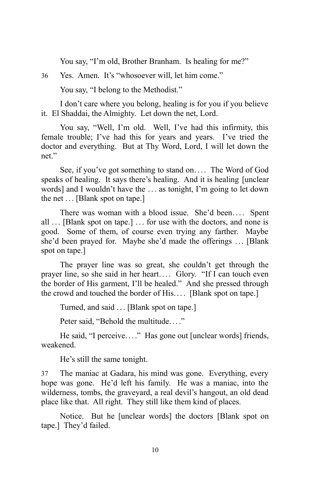You say, "I'm old, Brother Branham. Is healing for me?"

36 Yes. Amen. It's "whosoever will, let him come."

You say, "I belong to the Methodist."

I don't care where you belong, healing is for you if you believe it. El Shaddai, the Almighty. Let down the net, Lord.

You say, "Well, I'm old. Well, I've had this infirmity, this female trouble; I've had this for years and years. I've tried the doctor and everything. But at Thy Word, Lord, I will let down the net."

See, if you've got something to stand on.... The Word of God speaks of healing. It says there's healing. And it is healing [unclear words] and I wouldn't have the . . . as tonight, I'm going to let down the net  $\ldots$  [Blank spot on tape.]

There was woman with a blood issue. She'd been.... Spent all ... [Blank spot on tape.] ... for use with the doctors, and none is good. Some of them, of course even trying any farther. Maybe she'd been prayed for. Maybe she'd made the offerings ... [Blank] spot on tape.]

The prayer line was so great, she couldn't get through the prayer line, so she said in her heart.... Glory. "If I can touch even the border of His garment, I'll be healed." And she pressed through the crowd and touched the border of His.... [Blank spot on tape.]

Turned, and said . . . [Blank spot on tape.]

Peter said, "Behold the multitude...."

He said, "I perceive...." Has gone out [unclear words] friends, weakened.

He's still the same tonight.

37 The maniac at Gadara, his mind was gone. Everything, every hope was gone. He'd left his family. He was a maniac, into the wilderness, tombs, the graveyard, a real devil's hangout, an old dead place like that. All right. They still like them kind of places.

Notice. But he [unclear words] the doctors [Blank spot on tape.] They'd failed.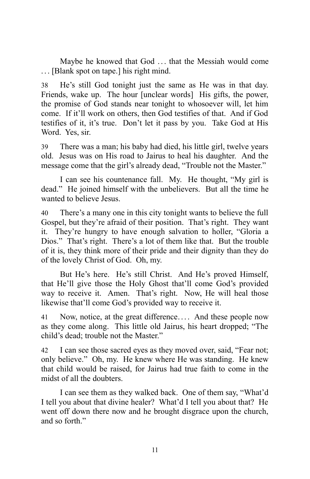Maybe he knowed that God ... that the Messiah would come . . . [Blank spot on tape.] his right mind.

38 He's still God tonight just the same as He was in that day. Friends, wake up. The hour [unclear words] His gifts, the power, the promise of God stands near tonight to whosoever will, let him come. If it'll work on others, then God testifies of that. And if God testifies of it, it's true. Don't let it pass by you. Take God at His Word. Yes, sir.

39 There was a man; his baby had died, his little girl, twelve years old. Jesus was on His road to Jairus to heal his daughter. And the message come that the girl's already dead, "Trouble not the Master."

I can see his countenance fall. My. He thought, "My girl is dead." He joined himself with the unbelievers. But all the time he wanted to believe Jesus.

40 There's a many one in this city tonight wants to believe the full Gospel, but they're afraid of their position. That's right. They want it. They're hungry to have enough salvation to holler, "Gloria a Dios." That's right. There's a lot of them like that. But the trouble of it is, they think more of their pride and their dignity than they do of the lovely Christ of God. Oh, my.

But He's here. He's still Christ. And He's proved Himself, that He'll give those the Holy Ghost that'll come God's provided way to receive it. Amen. That's right. Now, He will heal those likewise that'll come God's provided way to receive it.

41 Now, notice, at the great difference.... And these people now as they come along. This little old Jairus, his heart dropped; "The child's dead; trouble not the Master."

42 I can see those sacred eyes as they moved over, said, "Fear not; only believe." Oh, my. He knew where He was standing. He knew that child would be raised, for Jairus had true faith to come in the midst of all the doubters.

I can see them as they walked back. One of them say, "What'd I tell you about that divine healer? What'd I tell you about that? He went off down there now and he brought disgrace upon the church, and so forth."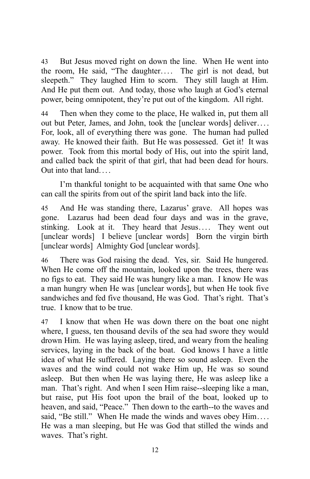43 But Jesus moved right on down the line. When He went into the room, He said, "The daughter.... The girl is not dead, but sleepeth." They laughed Him to scorn. They still laugh at Him. And He put them out. And today, those who laugh at God's eternal power, being omnipotent, they're put out of the kingdom. All right.

44 Then when they come to the place, He walked in, put them all out but Peter, James, and John, took the [unclear words] deliver. . . . For, look, all of everything there was gone. The human had pulled away. He knowed their faith. But He was possessed. Get it! It was power. Took from this mortal body of His, out into the spirit land, and called back the spirit of that girl, that had been dead for hours. Out into that land. . . .

I'm thankful tonight to be acquainted with that same One who can call the spirits from out of the spirit land back into the life.

45 And He was standing there, Lazarus' grave. All hopes was gone. Lazarus had been dead four days and was in the grave, stinking. Look at it. They heard that Jesus.... They went out [unclear words] I believe [unclear words] Born the virgin birth [unclear words] Almighty God [unclear words].

46 There was God raising the dead. Yes, sir. Said He hungered. When He come off the mountain, looked upon the trees, there was no figs to eat. They said He was hungry like a man. I know He was a man hungry when He was [unclear words], but when He took five sandwiches and fed five thousand, He was God. That's right. That's true. I know that to be true.

47 I know that when He was down there on the boat one night where, I guess, ten thousand devils of the sea had swore they would drown Him. He was laying asleep, tired, and weary from the healing services, laying in the back of the boat. God knows I have a little idea of what He suffered. Laying there so sound asleep. Even the waves and the wind could not wake Him up, He was so sound asleep. But then when He was laying there, He was asleep like a man. That's right. And when I seen Him raise--sleeping like a man, but raise, put His foot upon the brail of the boat, looked up to heaven, and said, "Peace." Then down to the earth--to the waves and said, "Be still." When He made the winds and waves obey Him.... He was a man sleeping, but He was God that stilled the winds and waves. That's right.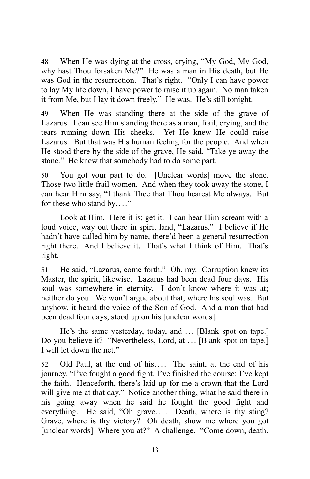48 When He was dying at the cross, crying, "My God, My God, why hast Thou forsaken Me?" He was a man in His death, but He was God in the resurrection. That's right. "Only I can have power to lay My life down, I have power to raise it up again. No man taken it from Me, but I lay it down freely." He was. He's still tonight.

49 When He was standing there at the side of the grave of Lazarus. I can see Him standing there as a man, frail, crying, and the tears running down His cheeks. Yet He knew He could raise Lazarus. But that was His human feeling for the people. And when He stood there by the side of the grave, He said, "Take ye away the stone." He knew that somebody had to do some part.

50 You got your part to do. [Unclear words] move the stone. Those two little frail women. And when they took away the stone, I can hear Him say, "I thank Thee that Thou hearest Me always. But for these who stand by...."

Look at Him. Here it is; get it. I can hear Him scream with a loud voice, way out there in spirit land, "Lazarus." I believe if He hadn't have called him by name, there'd been a general resurrection right there. And I believe it. That's what I think of Him. That's right.

51 He said, "Lazarus, come forth." Oh, my. Corruption knew its Master, the spirit, likewise. Lazarus had been dead four days. His soul was somewhere in eternity. I don't know where it was at; neither do you. We won't argue about that, where his soul was. But anyhow, it heard the voice of the Son of God. And a man that had been dead four days, stood up on his [unclear words].

He's the same yesterday, today, and ... [Blank spot on tape.] Do you believe it? "Nevertheless, Lord, at ... [Blank spot on tape.] I will let down the net."

52 Old Paul, at the end of his.... The saint, at the end of his journey, "I've fought a good fight, I've finished the course; I've kept the faith. Henceforth, there's laid up for me a crown that the Lord will give me at that day." Notice another thing, what he said there in his going away when he said he fought the good fight and everything. He said, "Oh grave.... Death, where is thy sting? Grave, where is thy victory? Oh death, show me where you got [unclear words] Where you at?" A challenge. "Come down, death.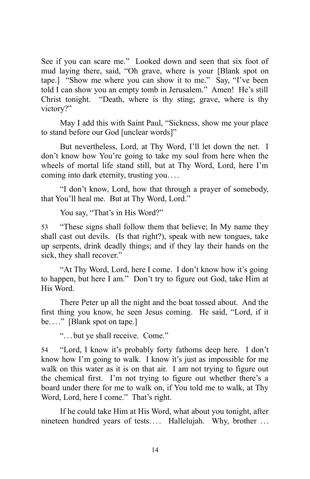See if you can scare me." Looked down and seen that six foot of mud laying there, said, "Oh grave, where is your [Blank spot on tape.] "Show me where you can show it to me." Say, "I've been told I can show you an empty tomb in Jerusalem." Amen! He's still Christ tonight. "Death, where is thy sting; grave, where is thy victory?"

May I add this with Saint Paul, "Sickness, show me your place to stand before our God [unclear words]"

But nevertheless, Lord, at Thy Word, I'll let down the net. I don't know how You're going to take my soul from here when the wheels of mortal life stand still, but at Thy Word, Lord, here I'm coming into dark eternity, trusting you. . . .

"I don't know, Lord, how that through a prayer of somebody, that You'll heal me. But at Thy Word, Lord."

You say, "That's in His Word?"

53 "These signs shall follow them that believe; In My name they shall cast out devils. (Is that right?), speak with new tongues, take up serpents, drink deadly things; and if they lay their hands on the sick, they shall recover."

"At Thy Word, Lord, here I come. I don't know how it's going to happen, but here I am." Don't try to figure out God, take Him at His Word.

There Peter up all the night and the boat tossed about. And the first thing you know, he seen Jesus coming. He said, "Lord, if it be...." [Blank spot on tape.]

". . . but ye shall receive. Come."

54 "Lord, I know it's probably forty fathoms deep here. I don't know how I'm going to walk. I know it's just as impossible for me walk on this water as it is on that air. I am not trying to figure out the chemical first. I'm not trying to figure out whether there's a board under there for me to walk on, if You told me to walk, at Thy Word, Lord, here I come." That's right.

If he could take Him at His Word, what about you tonight, after nineteen hundred years of tests.... Hallelujah. Why, brother ...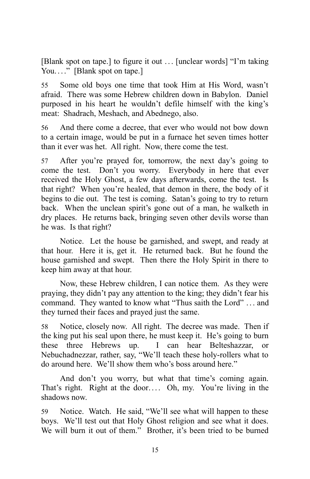[Blank spot on tape.] to figure it out ... [unclear words] "I'm taking You...." [Blank spot on tape.]

55 Some old boys one time that took Him at His Word, wasn't afraid. There was some Hebrew children down in Babylon. Daniel purposed in his heart he wouldn't defile himself with the king's meat: Shadrach, Meshach, and Abednego, also.

56 And there come a decree, that ever who would not bow down to a certain image, would be put in a furnace het seven times hotter than it ever was het. All right. Now, there come the test.

57 After you're prayed for, tomorrow, the next day's going to come the test. Don't you worry. Everybody in here that ever received the Holy Ghost, a few days afterwards, come the test. Is that right? When you're healed, that demon in there, the body of it begins to die out. The test is coming. Satan's going to try to return back. When the unclean spirit's gone out of a man, he walketh in dry places. He returns back, bringing seven other devils worse than he was. Is that right?

Notice. Let the house be garnished, and swept, and ready at that hour. Here it is, get it. He returned back. But he found the house garnished and swept. Then there the Holy Spirit in there to keep him away at that hour.

Now, these Hebrew children, I can notice them. As they were praying, they didn't pay any attention to the king; they didn't fear his command. They wanted to know what "Thus saith the Lord" . . . and they turned their faces and prayed just the same.

58 Notice, closely now. All right. The decree was made. Then if the king put his seal upon there, he must keep it. He's going to burn these three Hebrews up. I can hear Belteshazzar, or Nebuchadnezzar, rather, say, "We'll teach these holy-rollers what to do around here. We'll show them who's boss around here."

And don't you worry, but what that time's coming again. That's right. Right at the door.... Oh, my. You're living in the shadows now.

59 Notice. Watch. He said, "We'll see what will happen to these boys. We'll test out that Holy Ghost religion and see what it does. We will burn it out of them." Brother, it's been tried to be burned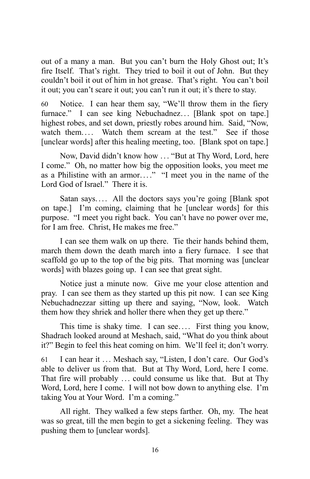out of a many a man. But you can't burn the Holy Ghost out; It's fire Itself. That's right. They tried to boil it out of John. But they couldn't boil it out of him in hot grease. That's right. You can't boil it out; you can't scare it out; you can't run it out; it's there to stay.

60 Notice. I can hear them say, "We'll throw them in the fiery furnace." I can see king Nebuchadnez... [Blank spot on tape.] highest robes, and set down, priestly robes around him. Said, "Now, watch them.... Watch them scream at the test." See if those [unclear words] after this healing meeting, too. [Blank spot on tape.]

Now, David didn't know how . . . "But at Thy Word, Lord, here I come." Oh, no matter how big the opposition looks, you meet me as a Philistine with an armor...." "I meet you in the name of the Lord God of Israel." There it is.

Satan says.... All the doctors says you're going [Blank spot] on tape.] I'm coming, claiming that he [unclear words] for this purpose. "I meet you right back. You can't have no power over me, for I am free. Christ, He makes me free."

I can see them walk on up there. Tie their hands behind them, march them down the death march into a fiery furnace. I see that scaffold go up to the top of the big pits. That morning was [unclear words] with blazes going up. I can see that great sight.

Notice just a minute now. Give me your close attention and pray. I can see them as they started up this pit now. I can see King Nebuchadnezzar sitting up there and saying, "Now, look. Watch them how they shriek and holler there when they get up there."

This time is shaky time. I can see.... First thing you know, Shadrach looked around at Meshach, said, "What do you think about it?" Begin to feel this heat coming on him. We'll feel it; don't worry.

61 I can hear it ... Meshach say, "Listen, I don't care. Our God's able to deliver us from that. But at Thy Word, Lord, here I come. That fire will probably ... could consume us like that. But at Thy Word, Lord, here I come. I will not bow down to anything else. I'm taking You at Your Word. I'm a coming."

All right. They walked a few steps farther. Oh, my. The heat was so great, till the men begin to get a sickening feeling. They was pushing them to [unclear words].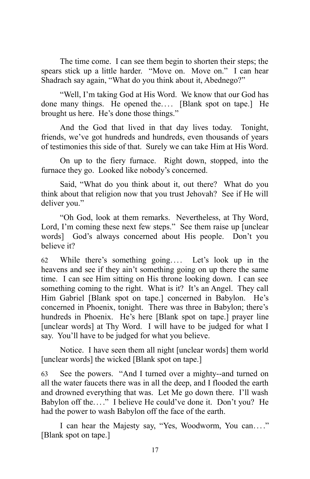The time come. I can see them begin to shorten their steps; the spears stick up a little harder. "Move on. Move on." I can hear Shadrach say again, "What do you think about it, Abednego?"

"Well, I'm taking God at His Word. We know that our God has done many things. He opened the.... [Blank spot on tape.] He brought us here. He's done those things."

And the God that lived in that day lives today. Tonight, friends, we've got hundreds and hundreds, even thousands of years of testimonies this side of that. Surely we can take Him at His Word.

On up to the fiery furnace. Right down, stopped, into the furnace they go. Looked like nobody's concerned.

Said, "What do you think about it, out there? What do you think about that religion now that you trust Jehovah? See if He will deliver you."

"Oh God, look at them remarks. Nevertheless, at Thy Word, Lord, I'm coming these next few steps." See them raise up [unclear words] God's always concerned about His people. Don't you believe it?

62 While there's something going. . . . Let's look up in the heavens and see if they ain't something going on up there the same time. I can see Him sitting on His throne looking down. I can see something coming to the right. What is it? It's an Angel. They call Him Gabriel [Blank spot on tape.] concerned in Babylon. He's concerned in Phoenix, tonight. There was three in Babylon; there's hundreds in Phoenix. He's here [Blank spot on tape.] prayer line [unclear words] at Thy Word. I will have to be judged for what I say. You'll have to be judged for what you believe.

Notice. I have seen them all night [unclear words] them world [unclear words] the wicked [Blank spot on tape.]

63 See the powers. "And I turned over a mighty--and turned on all the water faucets there was in all the deep, and I flooded the earth and drowned everything that was. Let Me go down there. I'll wash Babylon off the...." I believe He could've done it. Don't you? He had the power to wash Babylon off the face of the earth.

I can hear the Majesty say, "Yes, Woodworm, You can. . . ." [Blank spot on tape.]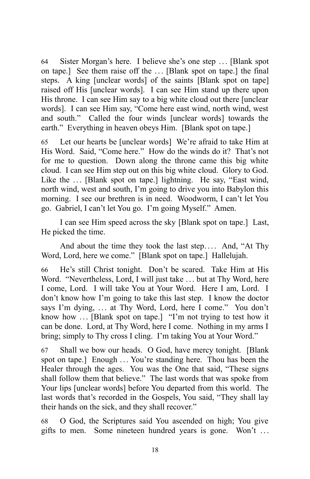64 Sister Morgan's here. I believe she's one step . . . [Blank spot on tape.] See them raise off the ... [Blank spot on tape.] the final steps. A king [unclear words] of the saints [Blank spot on tape] raised off His [unclear words]. I can see Him stand up there upon His throne. I can see Him say to a big white cloud out there [unclear words]. I can see Him say, "Come here east wind, north wind, west and south." Called the four winds [unclear words] towards the earth." Everything in heaven obeys Him. [Blank spot on tape.]

65 Let our hearts be [unclear words] We're afraid to take Him at His Word. Said, "Come here." How do the winds do it? That's not for me to question. Down along the throne came this big white cloud. I can see Him step out on this big white cloud. Glory to God. Like the ... [Blank spot on tape.] lightning. He say, "East wind, north wind, west and south, I'm going to drive you into Babylon this morning. I see our brethren is in need. Woodworm, I can't let You go. Gabriel, I can't let You go. I'm going Myself." Amen.

I can see Him speed across the sky [Blank spot on tape.] Last, He picked the time.

And about the time they took the last step.... And, "At Thy Word, Lord, here we come." [Blank spot on tape.] Hallelujah.

66 He's still Christ tonight. Don't be scared. Take Him at His Word. "Nevertheless, Lord, I will just take ... but at Thy Word, here I come, Lord. I will take You at Your Word. Here I am, Lord. I don't know how I'm going to take this last step. I know the doctor says I'm dying, ... at Thy Word, Lord, here I come." You don't know how ... [Blank spot on tape.] "I'm not trying to test how it can be done. Lord, at Thy Word, here I come. Nothing in my arms I bring; simply to Thy cross I cling. I'm taking You at Your Word."

67 Shall we bow our heads. O God, have mercy tonight. [Blank spot on tape.] Enough ... You're standing here. Thou has been the Healer through the ages. You was the One that said, "These signs shall follow them that believe." The last words that was spoke from Your lips [unclear words] before You departed from this world. The last words that's recorded in the Gospels, You said, "They shall lay their hands on the sick, and they shall recover."

68 O God, the Scriptures said You ascended on high; You give gifts to men. Some nineteen hundred years is gone. Won't ...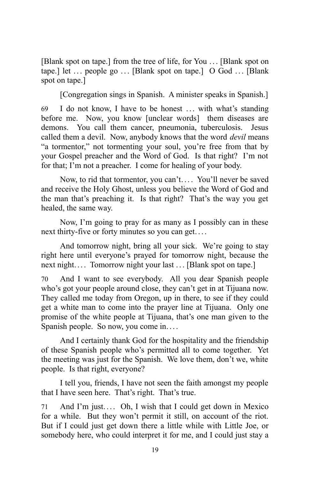[Blank spot on tape.] from the tree of life, for You ... [Blank spot on tape.] let  $\ldots$  people go  $\ldots$  [Blank spot on tape.] O God  $\ldots$  [Blank spot on tape.]

[Congregation sings in Spanish. A minister speaks in Spanish.]

69 I do not know, I have to be honest ... with what's standing before me. Now, you know [unclear words] them diseases are demons. You call them cancer, pneumonia, tuberculosis. Jesus called them a devil. Now, anybody knows that the word *devil* means "a tormentor," not tormenting your soul, you're free from that by your Gospel preacher and the Word of God. Is that right? I'm not for that; I'm not a preacher. I come for healing of your body.

Now, to rid that tormentor, you can't.... You'll never be saved and receive the Holy Ghost, unless you believe the Word of God and the man that's preaching it. Is that right? That's the way you get healed, the same way.

Now, I'm going to pray for as many as I possibly can in these next thirty-five or forty minutes so you can get. . . .

And tomorrow night, bring all your sick. We're going to stay right here until everyone's prayed for tomorrow night, because the next night.... Tomorrow night your last ... [Blank spot on tape.]

70 And I want to see everybody. All you dear Spanish people who's got your people around close, they can't get in at Tijuana now. They called me today from Oregon, up in there, to see if they could get a white man to come into the prayer line at Tijuana. Only one promise of the white people at Tijuana, that's one man given to the Spanish people. So now, you come in....

And I certainly thank God for the hospitality and the friendship of these Spanish people who's permitted all to come together. Yet the meeting was just for the Spanish. We love them, don't we, white people. Is that right, everyone?

I tell you, friends, I have not seen the faith amongst my people that I have seen here. That's right. That's true.

71 And I'm just.... Oh, I wish that I could get down in Mexico for a while. But they won't permit it still, on account of the riot. But if I could just get down there a little while with Little Joe, or somebody here, who could interpret it for me, and I could just stay a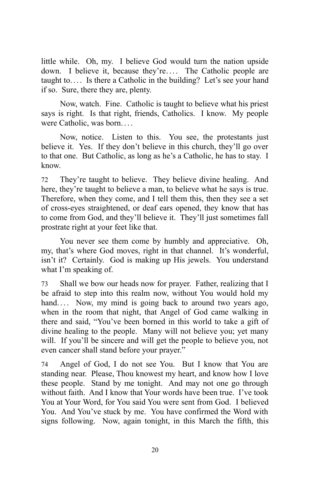little while. Oh, my. I believe God would turn the nation upside down. I believe it, because they're.... The Catholic people are taught to.... Is there a Catholic in the building? Let's see your hand if so. Sure, there they are, plenty.

Now, watch. Fine. Catholic is taught to believe what his priest says is right. Is that right, friends, Catholics. I know. My people were Catholic, was born. . . .

Now, notice. Listen to this. You see, the protestants just believe it. Yes. If they don't believe in this church, they'll go over to that one. But Catholic, as long as he's a Catholic, he has to stay. I know.

72 They're taught to believe. They believe divine healing. And here, they're taught to believe a man, to believe what he says is true. Therefore, when they come, and I tell them this, then they see a set of cross-eyes straightened, or deaf ears opened, they know that has to come from God, and they'll believe it. They'll just sometimes fall prostrate right at your feet like that.

You never see them come by humbly and appreciative. Oh, my, that's where God moves, right in that channel. It's wonderful, isn't it? Certainly. God is making up His jewels. You understand what I'm speaking of.

73 Shall we bow our heads now for prayer. Father, realizing that I be afraid to step into this realm now, without You would hold my hand.... Now, my mind is going back to around two years ago, when in the room that night, that Angel of God came walking in there and said, "You've been borned in this world to take a gift of divine healing to the people. Many will not believe you; yet many will. If you'll be sincere and will get the people to believe you, not even cancer shall stand before your prayer."

74 Angel of God, I do not see You. But I know that You are standing near. Please, Thou knowest my heart, and know how I love these people. Stand by me tonight. And may not one go through without faith. And I know that Your words have been true. I've took You at Your Word, for You said You were sent from God. I believed You. And You've stuck by me. You have confirmed the Word with signs following. Now, again tonight, in this March the fifth, this